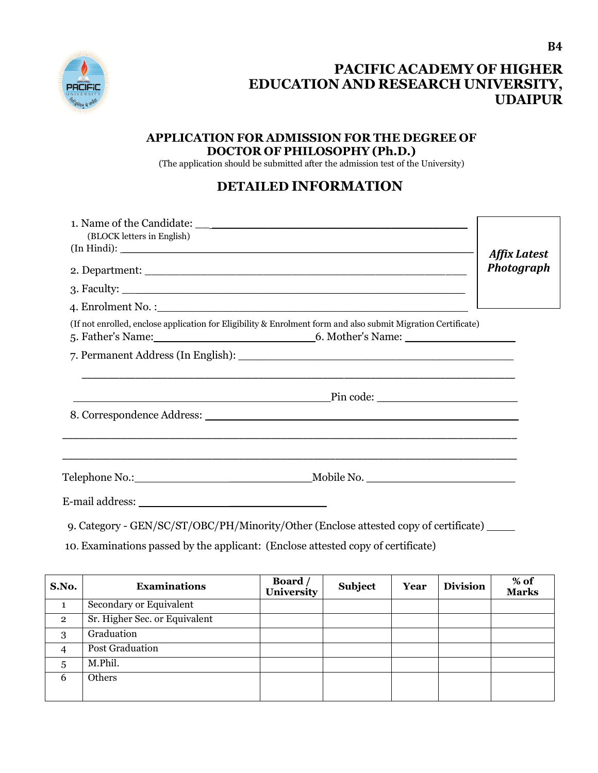

## **PACIFIC ACADEMY OF HIGHER EDUCATION AND RESEARCH UNIVERSITY, UDAIPUR**

## **APPLICATION FOR ADMISSION FOR THE DEGREE OF DOCTOR OF PHILOSOPHY (Ph.D.)**

(The application should be submitted after the admission test of the University)

## **DETAILED INFORMATION**

| (BLOCK letters in English) | <b>Affix Latest</b>                                                                                                 |            |
|----------------------------|---------------------------------------------------------------------------------------------------------------------|------------|
|                            |                                                                                                                     | Photograph |
|                            |                                                                                                                     |            |
|                            |                                                                                                                     |            |
|                            | (If not enrolled, enclose application for Eligibility & Enrolment form and also submit Migration Certificate)       |            |
|                            |                                                                                                                     |            |
|                            |                                                                                                                     |            |
|                            |                                                                                                                     |            |
|                            |                                                                                                                     |            |
|                            | <u> 1989 - 1989 - 1989 - 1989 - 1989 - 1989 - 1989 - 1989 - 1989 - 1989 - 1989 - 1989 - 1989 - 1989 - 1989 - 19</u> |            |
|                            |                                                                                                                     |            |
|                            |                                                                                                                     |            |
|                            | 9. Category - GEN/SC/ST/OBC/PH/Minority/Other (Enclose attested copy of certificate)                                |            |

10. Examinations passed by the applicant: (Enclose attested copy of certificate)

| S.No.          | <b>Examinations</b>           | Board /<br>University | Subject | Year | <b>Division</b> | % of<br>Marks |
|----------------|-------------------------------|-----------------------|---------|------|-----------------|---------------|
|                | Secondary or Equivalent       |                       |         |      |                 |               |
| $\overline{2}$ | Sr. Higher Sec. or Equivalent |                       |         |      |                 |               |
| 3              | Graduation                    |                       |         |      |                 |               |
| $\overline{4}$ | <b>Post Graduation</b>        |                       |         |      |                 |               |
| 5              | M.Phil.                       |                       |         |      |                 |               |
| 6              | Others                        |                       |         |      |                 |               |
|                |                               |                       |         |      |                 |               |